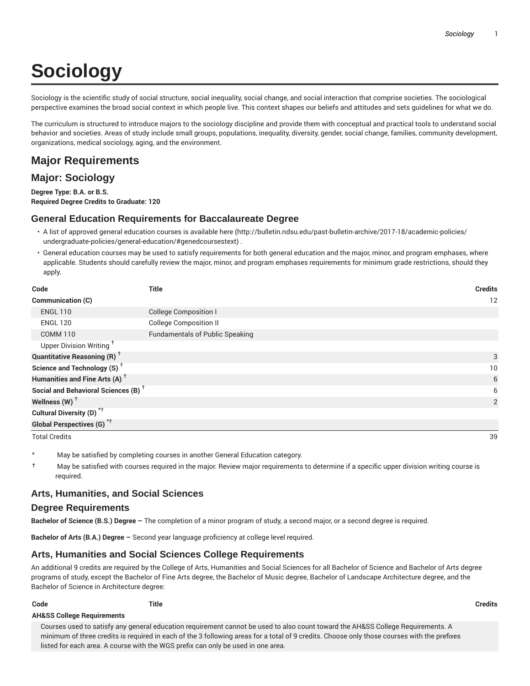# **Sociology**

Sociology is the scientific study of social structure, social inequality, social change, and social interaction that comprise societies. The sociological perspective examines the broad social context in which people live. This context shapes our beliefs and attitudes and sets guidelines for what we do.

The curriculum is structured to introduce majors to the sociology discipline and provide them with conceptual and practical tools to understand social behavior and societies. Areas of study include small groups, populations, inequality, diversity, gender, social change, families, community development, organizations, medical sociology, aging, and the environment.

# **Major Requirements**

# **Major: Sociology**

**Degree Type: B.A. or B.S. Required Degree Credits to Graduate: 120**

#### **General Education Requirements for Baccalaureate Degree**

- A list of approved general education courses is available here (http://bulletin.ndsu.edu/past-bulletin-archive/2017-18/academic-policies/ undergraduate-policies/general-education/#genedcoursestext) .
- General education courses may be used to satisfy requirements for both general education and the major, minor, and program emphases, where applicable. Students should carefully review the major, minor, and program emphases requirements for minimum grade restrictions, should they apply.

| Code                                            | <b>Title</b>                           | <b>Credits</b> |
|-------------------------------------------------|----------------------------------------|----------------|
| Communication (C)                               |                                        | 12             |
| <b>ENGL 110</b>                                 | <b>College Composition I</b>           |                |
| <b>ENGL 120</b>                                 | <b>College Composition II</b>          |                |
| <b>COMM 110</b>                                 | <b>Fundamentals of Public Speaking</b> |                |
| Upper Division Writing <sup>+</sup>             |                                        |                |
| <b>Quantitative Reasoning (R)</b> <sup>†</sup>  |                                        | 3              |
| Science and Technology (S) <sup>+</sup>         |                                        | 10             |
| Humanities and Fine Arts (A) <sup>+</sup>       |                                        | 6              |
| Social and Behavioral Sciences (B) <sup>+</sup> |                                        | 6              |
| Wellness (W) $^{\dagger}$                       |                                        | 2              |
| Cultural Diversity (D) <sup>*†</sup>            |                                        |                |
| <b>Global Perspectives (G)</b> <sup>*†</sup>    |                                        |                |

Total Credits 39

May be satisfied by completing courses in another General Education category.

† May be satisfied with courses required in the major. Review major requirements to determine if a specific upper division writing course is required.

#### **Arts, Humanities, and Social Sciences**

#### **Degree Requirements**

**AH&SS College Requirements**

**Bachelor of Science (B.S.) Degree –** The completion of a minor program of study, a second major, or a second degree is required.

**Bachelor of Arts (B.A.) Degree –** Second year language proficiency at college level required.

#### **Arts, Humanities and Social Sciences College Requirements**

An additional 9 credits are required by the College of Arts, Humanities and Social Sciences for all Bachelor of Science and Bachelor of Arts degree programs of study, except the Bachelor of Fine Arts degree, the Bachelor of Music degree, Bachelor of Landscape Architecture degree, and the Bachelor of Science in Architecture degree:

**Code Title Credits**

Courses used to satisfy any general education requirement cannot be used to also count toward the AH&SS College Requirements. A minimum of three credits is required in each of the 3 following areas for a total of 9 credits. Choose only those courses with the prefixes listed for each area. A course with the WGS prefix can only be used in one area.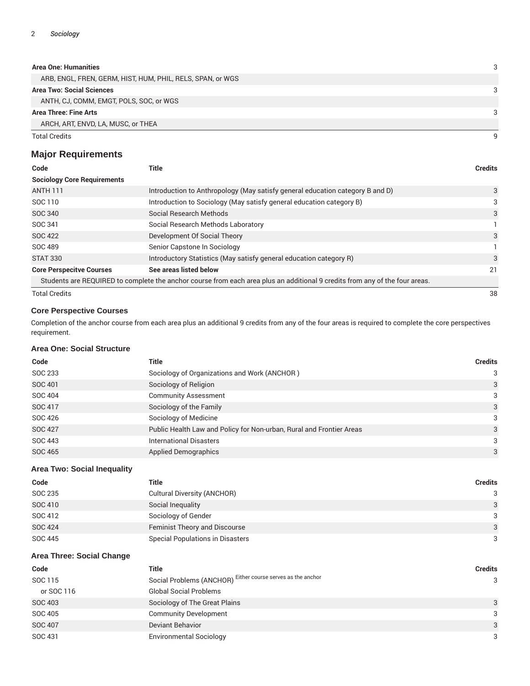#### **Area One: Humanities** 3

| ARB, ENGL, FREN, GERM, HIST, HUM, PHIL, RELS, SPAN, or WGS |   |
|------------------------------------------------------------|---|
| <b>Area Two: Social Sciences</b>                           |   |
| ANTH, CJ, COMM, EMGT, POLS, SOC, or WGS                    |   |
| Area Three: Fine Arts                                      | 3 |
| ARCH, ART, ENVD, LA, MUSC, or THEA                         |   |
| <b>Total Credits</b>                                       |   |

### **Major Requirements**

| Code                               | Title                                                                                                                       | <b>Credits</b> |
|------------------------------------|-----------------------------------------------------------------------------------------------------------------------------|----------------|
| <b>Sociology Core Requirements</b> |                                                                                                                             |                |
| <b>ANTH 111</b>                    | Introduction to Anthropology (May satisfy general education category B and D)                                               | 3              |
| SOC 110                            | Introduction to Sociology (May satisfy general education category B)                                                        | 3              |
| SOC 340                            | Social Research Methods                                                                                                     | 3              |
| SOC 341                            | Social Research Methods Laboratory                                                                                          |                |
| <b>SOC 422</b>                     | Development Of Social Theory                                                                                                | 3              |
| SOC 489                            | Senior Capstone In Sociology                                                                                                |                |
| STAT 330                           | Introductory Statistics (May satisfy general education category R)                                                          | 3              |
| <b>Core Perspecitve Courses</b>    | See areas listed below                                                                                                      | 21             |
|                                    | Students are REQUIRED to complete the anchor course from each area plus an additional 9 credits from any of the four areas. |                |
| <b>Total Credits</b>               |                                                                                                                             | 38             |

#### **Core Perspective Courses**

Completion of the anchor course from each area plus an additional 9 credits from any of the four areas is required to complete the core perspectives requirement.

#### **Area One: Social Structure**

| Code           | Title                                                                | <b>Credits</b> |
|----------------|----------------------------------------------------------------------|----------------|
| SOC 233        | Sociology of Organizations and Work (ANCHOR)                         | 3              |
| SOC 401        | Sociology of Religion                                                | 3              |
| SOC 404        | <b>Community Assessment</b>                                          | 3              |
| SOC 417        | Sociology of the Family                                              | 3              |
| SOC 426        | Sociology of Medicine                                                | 3              |
| <b>SOC 427</b> | Public Health Law and Policy for Non-urban, Rural and Frontier Areas | 3              |
| SOC 443        | <b>International Disasters</b>                                       | 3              |
| SOC 465        | <b>Applied Demographics</b>                                          | 3              |

#### **Area Two: Social Inequality**

| Code           | Title                                   | Credits |
|----------------|-----------------------------------------|---------|
| SOC 235        | Cultural Diversity (ANCHOR)             | 3       |
| SOC 410        | Social Inequality                       | 3       |
| SOC 412        | Sociology of Gender                     | 3       |
| <b>SOC 424</b> | <b>Feminist Theory and Discourse</b>    | 3       |
| SOC 445        | <b>Special Populations in Disasters</b> | 3       |

#### **Area Three: Social Change**

| Code           | Title                                                       | <b>Credits</b> |
|----------------|-------------------------------------------------------------|----------------|
| SOC 115        | Social Problems (ANCHOR) Either course serves as the anchor | 3              |
| or SOC 116     | <b>Global Social Problems</b>                               |                |
| SOC 403        | Sociology of The Great Plains                               | 3              |
| SOC 405        | <b>Community Development</b>                                | 3              |
| <b>SOC 407</b> | <b>Deviant Behavior</b>                                     | 3              |
| SOC 431        | <b>Environmental Sociology</b>                              | 3              |